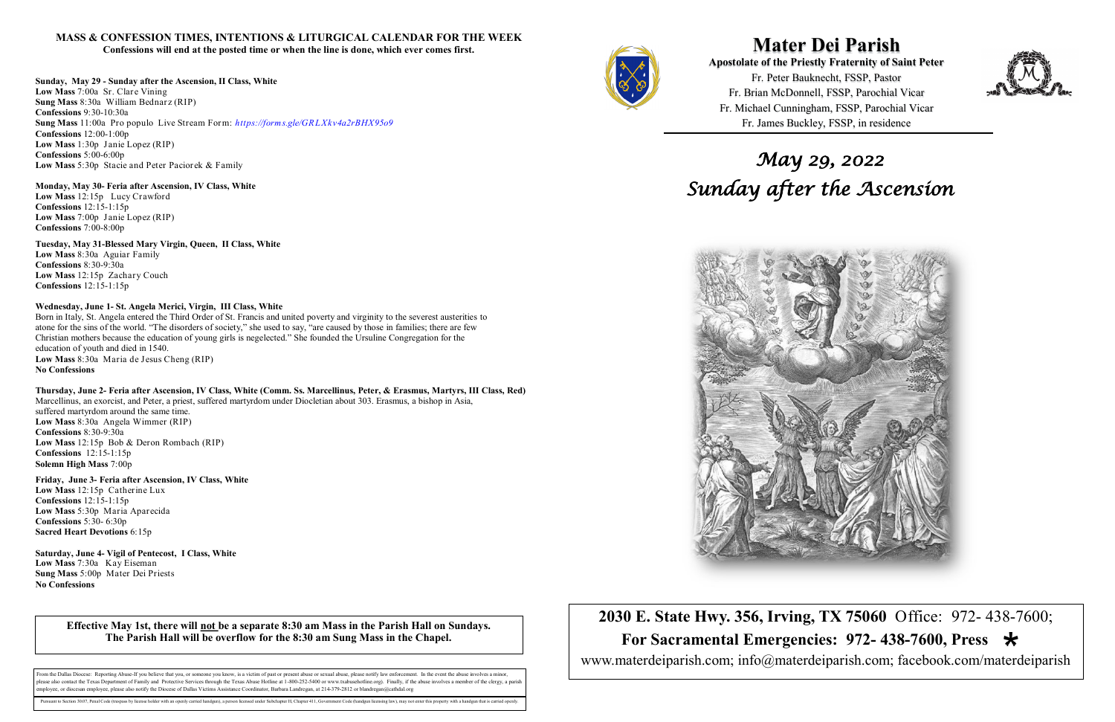**Mater Dei Parish Apostolate of the Priestly Fraternity of Saint Peter**  Fr. Peter Bauknecht, FSSP, Pastor Fr. Brian McDonnell, FSSP, Parochial Vicar Fr. Michael Cunningham, FSSP, Parochial Vicar Fr. James Buckley, FSSP, in residence

**2030 E. State Hwy. 356, Irving, TX 75060** Office: 972- 438-7600;  **For Sacramental Emergencies: 972- 438-7600, Press**  www.materdeiparish.com; info@materdeiparish.com; facebook.com/materdeiparish



## **MASS & CONFESSION TIMES, INTENTIONS & LITURGICAL CALENDAR FOR THE WEEK**

**Confessions will end at the posted time or when the line is done, which ever comes first.**

**Sunday, May 29 - Sunday after the Ascension, II Class, White**

**Low Mass** 7:00a Sr. Clare Vining **Sung Mass** 8:30a William Bednarz (RIP) **Confessions** 9:30-10:30a **Sung Mass** 11:00a Pro populo Live Stream Form: *https://forms.gle/GR LXkv4a2rBHX95o9* **Confessions** 12:00-1:00p **Low Mass** 1:30p Janie Lopez (RIP) **Confessions** 5:00-6:00p **Low Mass** 5:30p Stacie and Peter Paciorek & Family

### **Monday, May 30- Feria after Ascension, IV Class, White**

**Low Mass** 12:15p Lucy Crawford **Confessions** 12:15-1:15p **Low Mass** 7:00p Janie Lopez (RIP) **Confessions** 7:00-8:00p

**Tuesday, May 31-Blessed Mary Virgin, Queen, II Class, White Low Mass** 8:30a Aguiar Family **Confessions** 8:30-9:30a

**Low Mass** 12:15p Zachary Couch **Confessions** 12:15-1:15p

### **Wednesday, June 1- St. Angela Merici, Virgin, III Class, White**

From the Dallas Diocese: Reporting Abuse-If you believe that you, or someone you know, is a victim of past or present abuse or sexual abuse, please notify law enforcement. In the event the abuse involves a minor, blease also contact the Texas Department of Family and Protective Services through the Texas Abuse Hotline at 1-800-252-5400 or www.txabusehotline.org). Finally, if the abuse involves a member of the clergy, a paris employee, or diocesan employee, please also notify the Diocese of Dallas Victims Assistance Coordinator, Barbara Landregan, at 214-379-2812 or blandregan@cathdal.org

suant to Section 30.07, Penal Code (trespass by license holder with an openly carried handgun), a person licensed under Subchapter H, Chapter 411, Government Code (handgun licensing law), may not enter this property with a



Born in Italy, St. Angela entered the Third Order of St. Francis and united poverty and virginity to the severest austerities to atone for the sins of the world. "The disorders of society," she used to say, "are caused by those in families; there are few Christian mothers because the education of young girls is negelected." She founded the Ursuline Congregation for the education of youth and died in 1540. **Low Mass** 8:30a Maria de Jesus Cheng (RIP) **No Confessions** 

**Thursday, June 2- Feria after Ascension, IV Class, White (Comm. Ss. Marcellinus, Peter, & Erasmus, Martyrs, III Class, Red)** Marcellinus, an exorcist, and Peter, a priest, suffered martyrdom under Diocletian about 303. Erasmus, a bishop in Asia, suffered martyrdom around the same time. **Low Mass** 8:30a Angela Wimmer (RIP) **Confessions** 8:30-9:30a **Low Mass** 12:15p Bob & Deron Rombach (RIP) **Confessions** 12:15-1:15p **Solemn High Mass** 7:00p

**Friday, June 3- Feria after Ascension, IV Class, White Low Mass** 12:15p Catherine Lux **Confessions** 12:15-1:15p **Low Mass** 5:30p Maria Aparecida **Confessions** 5:30- 6:30p **Sacred Heart Devotions** 6:15p

**Saturday, June 4- Vigil of Pentecost, I Class, White Low Mass** 7:30a Kay Eiseman **Sung Mass** 5:00p Mater Dei Priests **No Confessions**

*May 29, 2022 Sunday after the Ascension* 



**Effective May 1st, there will not be a separate 8:30 am Mass in the Parish Hall on Sundays. The Parish Hall will be overflow for the 8:30 am Sung Mass in the Chapel.**